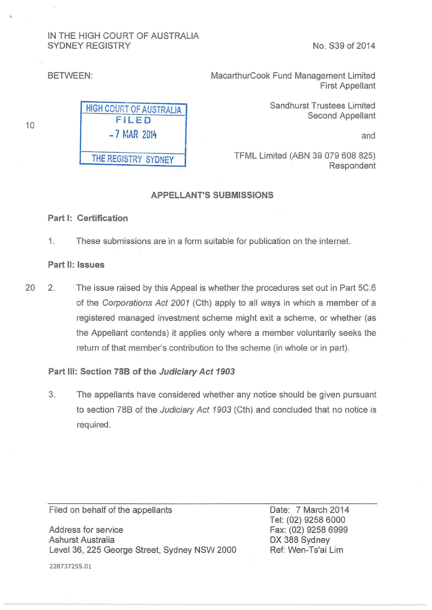# IN THE HIGH COURT OF AUSTRALIA SYDNEY REGISTRY No. S39 of 2014

10

BETWEEN: BETWEEN: First Appellant

> Sandhurst Trustees Limited Second Appellant

> > and

TFML Limited (ABN 39 079 608 825) Respondent

## APPELLANT'S SUBMISSIONS

#### Part 1: Certification

1. These submissions are in a form suitable for publication on the internet.

#### Part II: Issues

20 2. The issue raised by this Appeal is whether the procedures set out in Part 5C.6 of the Corporations Act 2001 (Cth) apply to all ways in which a member of a registered managed investment scheme might exit a scheme, or whether (as the Appellant contends) it applies only where a member voluntarily seeks the return of that member's contribution to the scheme (in whole or in part).

#### Part Ill: Section 788 of the Judiciary Act 1903

3. The appellants have considered whether any notice should be given pursuant to section 788 of the Judiciary Act 1903 (Cth) and concluded that no notice is required.

Filed on behalf of the appellants

Address for service Ashurst Australia Level 36, 225 George Street, Sydney NSW 2000 Date: 7 March 2014 Tel: (02) 9258 6000 Fax: (02) 9258 6999 DX 388 Sydney Ref: Wen-Ts'ai Lim

228737255.01

FiLED -7 MAR 2014 THE REGISTRY SYDNEY

HIGH COURT OF AUSTRALIA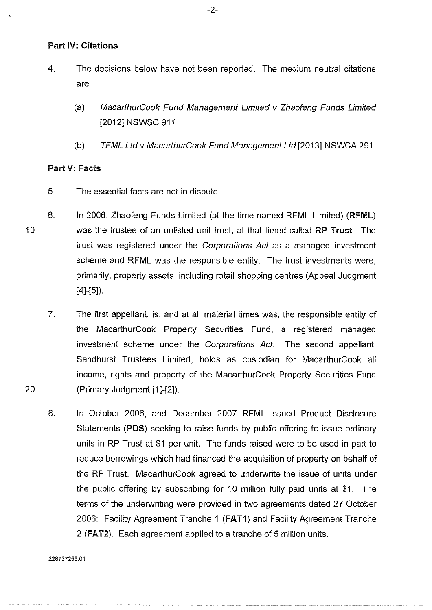## Part **IV: Citations**

- 4. The decisions below have not been reported. The medium neutral citations are:
	- (a) MacarthurCook Fund Management Limited v Zhaofeng Funds Limited [2012] NSWSC 911
	- (b) TFML Ltd v MacarthurCook Fund Management Ltd [2013] NSWCA 291

# Part V: Facts

- 5. The essential facts are not in dispute.
- 6. In 2006, Zhaofeng Funds Limited (at the time named RFML Limited) (RFML) was the trustee of an unlisted unit trust, at that timed called RP Trust. The trust was registered under the Corporations Act as a managed investment scheme and RFML was the responsible entity. The trust investments were, primarily, property assets, including retail shopping centres (Appeal Judgment  $[4]-[5]$ ).
	- 7. The first appellant, is, and at all material times was, the responsible entity of the MacarthurCook Property Securities Fund, a registered managed investment scheme under the Corporations Act. The second appellant, Sandhurst Trustees Limited, holds as custodian for MacarthurCook all income, rights and property of the MacarthurCook Property Securities Fund (Primary Judgment [1 ]-[2]).
	- 8. In October 2006, and December 2007 RFML issued Product Disclosure Statements **(PDS)** seeking to raise funds by public offering to issue ordinary units in RP Trust at \$1 per unit. The funds raised were to be used in part to reduce borrowings which had financed the acquisition of property on behalf of the RP Trust. MacarthurCook agreed to underwrite the issue of units under the public offering by subscribing for 10 million fully paid units at \$1. The terms of the underwriting were provided in two agreements dated 27 October 2006: Facility Agreement Tranche 1 **(FAT1)** and Facility Agreement Tranche 2 **(FAT2).** Each agreement applied to a tranche of 5 million units.

20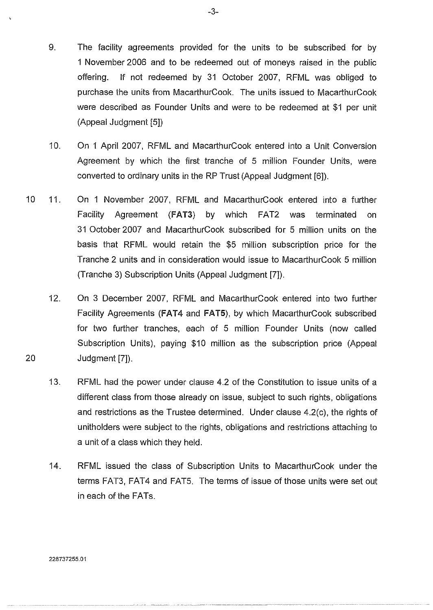- 9. The facility agreements provided for the units to be subscribed for by 1 November 2006 and to be redeemed out of moneys raised in the public offering. If not redeemed by 31 October 2007, RFML was obliged to purchase the units from MacarthurCook. The units issued to MacarthurCook were described as Founder Units and were to be redeemed at \$1 per unit (Appeal Judgment [5])
- 10. On 1 April 2007, RFML and MacarthurCook entered into a Unit Conversion Agreement by which the first tranche of 5 million Founder Units, were converted to ordinary units in the RP Trust (Appeal Judgment [6]).
- 10 11. On 1 November 2007, RFML and MacarthurCook entered into a further Facility Agreement **(FAT3)** by which FAT2 was terminated on 31 October 2007 and MacarthurCook subscribed for 5 million units on the basis that RFML would retain the \$5 million subscription price for the Tranche 2 units and in consideration would issue to MacarthurCook 5 million (Tranche 3) Subscription Units (Appeal Judgment [7]).
	- 12. On 3 December 2007, RFML and MacarthurCook entered into two further Facility Agreements (FAT4 and **FAT5),** by which MacarthurCook subscribed for two further tranches, each of 5 million Founder Units (now called Subscription Units), paying \$10 million as the subscription price (Appeal Judgment [7]).
	- 13. RFML had the power under clause 4.2 of the Constitution to issue units of a different class from those already on issue, subject to such rights, obligations and restrictions as the Trustee determined. Under clause 4.2(c), the rights of unitholders were subject to the rights, obligations and restrictions attaching to a unit of a class which they held.
	- 14. RFML issued the class of Subscription Units to MacarthurCook under the terms FAT3, FAT4 and FAT5. The terms of issue of those units were set out in each of the FATs.

228737255.01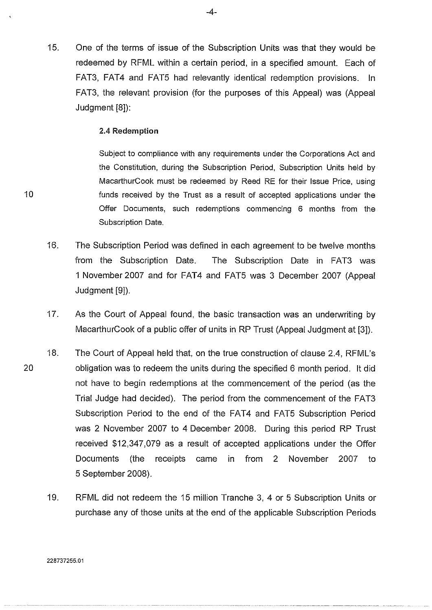1S. One of the terms of issue of the Subscription Units was that they would be redeemed by RFML within a certain period, in a specified amount. Each of FAT3, FAT4 and FATS had relevantly identical redemption provisions. In FAT3, the relevant provision (for the purposes of this Appeal) was (Appeal Judgment [8]):

#### 2.4 Redemption

Subject to compliance with any requirements under the Corporations Act and the Constitution, during the Subscription Period, Subscription Units held by MacarthurCook must be redeemed by Reed RE for their Issue Price, using funds received by the Trust as a result of accepted applications under the Offer Documents, such redemptions commencing 6 months from the Subscription Date.

- 16. The Subscription Period was defined in each agreement to be twelve months from the Subscription Date. The Subscription Date in FAT3 was 1 November 2007 and for FAT4 and FATS was 3 December 2007 (Appeal Judgment [9]).
- 17. As the Court of Appeal found, the basic transaction was an underwriting by MacarthurCook of a public offer of units in RP Trust (Appeal Judgment at [3]).
- 18. The Court of Appeal held that, on the true construction of clause 2.4, RFML's obligation was to redeem the units during the specified 6 month period. It did not have to begin redemptions at the commencement of the period (as the Trial Judge had decided). The period from the commencement of the FAT3 Subscription Period to the end of the FAT4 and FAT5 Subscription Period was 2 November 2007 to 4 December 2008. During this period RP Trust received \$12,347,079 as a result of accepted applications under the Offer Documents (the receipts came in from 2 November 2007 to 5 September 2008).
	- 19. RFML did not redeem the 1S million Tranche 3, 4 or 5 Subscription Units or purchase any of those units at the end of the applicable Subscription Periods

10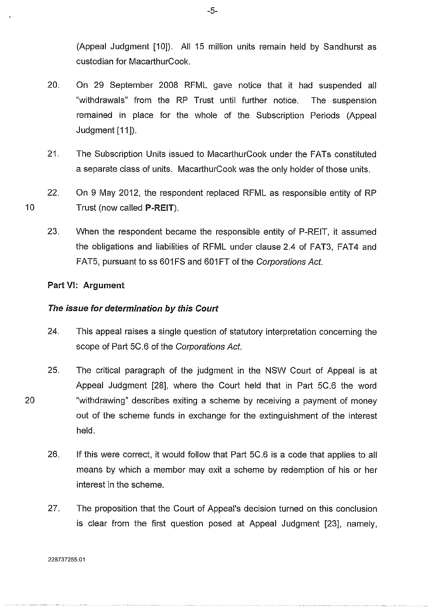(Appeal Judgment [10]). All 15 million units remain held by Sandhurst as custodian for MacarthurCook.

- 20. On 29 September 2008 RFML gave notice that it had suspended all "withdrawals" from the RP Trust until further notice. The suspension remained in place for the whole of the Subscription Periods (Appeal Judgment [11]).
- 21. The Subscription Units issued to MacarthurCook under the FATs constituted a separate class of units. MacarthurCook was the only holder of those units.
- 22. On 9 May 2012, the respondent replaced RFML as responsible entity of RP Trust (now called P-REIT).
	- 23. When the respondent became the responsible entity of P-REIT, it assumed the obligations and liabilities of RFML under clause 2.4 of FAT3, FAT4 and FAT5, pursuant to ss 601 FS and 601 FT of the Corporations Act.

# Part VI: Argument

## The issue for determination by this Court

- 24. This appeal raises a single question of statutory interpretation concerning the scope of Part 5C.6 of the Corporations Act.
- 25. The critical paragraph of the judgment in the NSW Court of Appeal is at Appeal Judgment [28], where the Court held that in Part 5C.6 the word "withdrawing" describes exiting a scheme by receiving a payment of money out of the scheme funds in exchange for the extinguishment of the interest held.
	- 26. If this were correct, it would follow that Part 5C .6 is a code that applies to all means by which a member may exit a scheme by redemption of his or her interest in the scheme.
	- 27. The proposition that the Court of Appeal's decision turned on this conclusion is clear from the first question posed at Appeal Judgment [23], namely,

-5-

10

20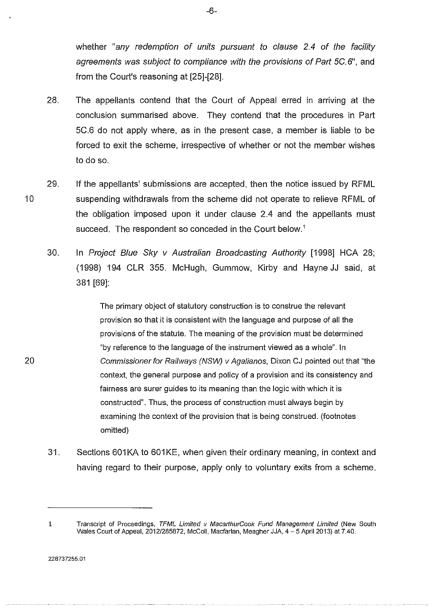whether "any redemption of units pursuant to clause 2.4 of the facility agreements was subject to compliance with the provisions of Part 5C.6", and from the Court's reasoning at [25]-[28].

- 28. The appellants contend that the Court of Appeal erred in arriving at the conclusion summarised above. They contend that the procedures in Part 5C.6 do not apply where, as in the present case, a member is liable to be forced to exit the scheme, irrespective of whether or not the member wishes to do so.
- 29. If the appellants' submissions are accepted, then the notice issued by RFML suspending withdrawals from the scheme did not operate to relieve RFML of the obligation imposed upon it under clause 2.4 and the appellants must succeed. The respondent so conceded in the Court below.'
	- 30. In Project Blue Sky v Australian Broadcasting Authority [1998] HCA 28; (1998) 194 CLR 355. McHugh, Gummow, Kirby and Hayne JJ said, at 381 [69]:

The primary object of statutory construction is to construe the relevant provision so that it is consistent with the language and purpose of all the provisions of the statute. The meaning of the provision must be determined "by reference to the language of the instrument viewed as a whole". In Commissioner for Railways (NSW) v Agalianos, Dixon CJ pointed out that "the context, the general purpose and policy of a provision and its consistency and fairness are surer guides to its meaning than the logic with which it is constructed". Thus, the process of construction must always begin by examining the context of the provision that is being construed. (footnotes omitted)

31. Sections 601 KA to 601 KE, when given their ordinary meaning, in context and having regard to their purpose, apply only to voluntary exits from a scheme.

10

<sup>1</sup> Transcript of Proceedings, TFML Limited v MacarthurCook Fund Management Limited (New South Wales Court of Appeal, 2012/285872, McColl, Macfarlan, Meagher JJA, 4-5 April 2013) at 7.40.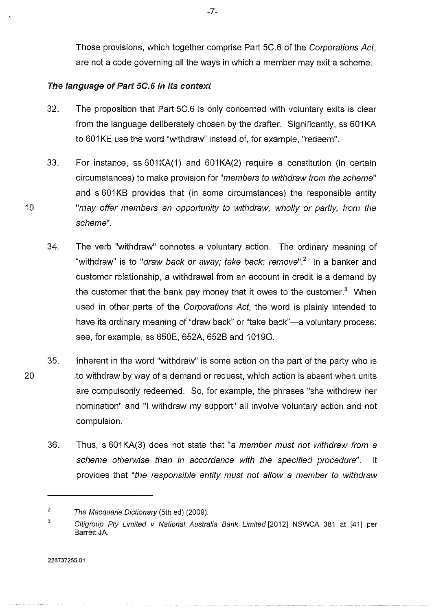Those provisions, which together comprise Part 5C.6 of the Corporations Act, are not a code governing all the ways in which a member may exit a scheme.

# The language of Part 5C.6 in its context

- 32. The proposition that Part 5C.6 is only concerned with voluntary exits is clear from the language deliberately chosen by the drafter. Significantly, ss 601 KA to 601KE use the word "withdraw" instead of, for example, "redeem".
- 33. For instance, ss 601 KA(1) and 601 KA(2) require a constitution (in certain circumstances) to make provision for "members to withdraw from the scheme" and s 601 KB provides that (in some circumstances) the responsible entity "may offer members an opportunity to withdraw, wholly or partly, from the scheme".
- 34. The verb "withdraw" connotes a voluntary action. The ordinary meaning of "withdraw" is to "*draw back or away; take back; remove*".<sup>2</sup> In a banker and customer relationship, a withdrawal from an account in credit is a demand by the customer that the bank pay money that it owes to the customer.<sup>3</sup> When used in other parts of the Corporations Act, the word is plainly intended to have its ordinary meaning of "draw back" or "take back"-a voluntary process: see, for example, ss 650E, 652A, 652B and 1019G.
- 35. Inherent in the word "withdraw" is some action on the part of the party who is to withdraw by way of a demand or request. which action is absent when units are compulsorily redeemed. So, for example, the phrases "she withdrew her nomination" and "I withdraw my support" all involve voluntary action and not compulsion.
	- 36. Thus, s 601 KA(3) does not state that "a member must not withdraw from a scheme otherwise than in accordance with the specified procedure". It provides that "the responsible entity must not allow a member to withdraw

<sup>2</sup>  The Macquarie Dictionary (5th ed) (2009).

<sup>3</sup>  Citigroup Pty Limited v National Australia Bank Limited [2012] NSWCA 381 at [41] per Barrett JA.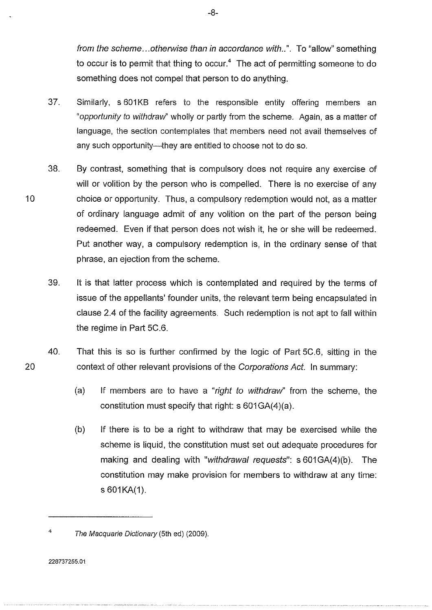from the scheme... otherwise than in accordance with..". To "allow" something to occur is to permit that thing to occur.<sup>4</sup> The act of permitting someone to do something does not compel that person to do anything.

- 37. Similarly, s 601KB refers to the responsible entity offering members an "opportunity to withdraw' wholly or partly from the scheme. Again, as a matter of language, the section contemplates that members need not avail themselves of any such opportunity-they are entitled to choose not to do so.
- 38. By contrast, something that is compulsory does not require any exercise of will or volition by the person who is compelled. There is no exercise of any choice or opportunity. Thus, a compulsory redemption would not, as a matter of ordinary language admit of any volition on the part of the person being redeemed. Even if that person does not wish it, he or she will be redeemed. Put another way, a compulsory redemption is, in the ordinary sense of that phrase, an ejection from the scheme.
	- 39. It is that latter process which is contemplated and required by the terms of issue of the appellants' founder units, the relevant term being encapsulated in clause 2.4 of the facility agreements. Such redemption is not apt to fall within the regime in Part 5C.6.
- 40. That this is so is further confirmed by the logic of Part 5C.6, sitting in the context of other relevant provisions of the Corporations Act. In summary:
	- (a) If members are to have a "right to withdraw" from the scheme, the constitution must specify that right:  $s$  601 GA(4)(a).
	- (b) If there is to be a right to withdraw that may be exercised while the scheme is liquid, the constitution must set out adequate procedures for making and dealing with "withdrawal requests": s 601GA(4)(b). The constitution may make provision for members to withdraw at any time:  $s$  601 $KA(1)$ .

228737255.01

20

<sup>4</sup>  The Macquarie Dictionary (5th ed) (2009).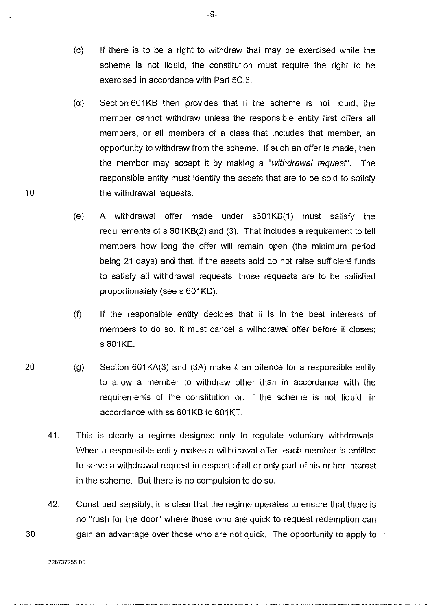- (c) If there is to be a right to withdraw that may be exercised while the scheme is not liquid, the constitution must require the right to be exercised in accordance with Part 5C.6.
- (d) Section 601 KB then provides that if the scheme is not liquid, the member cannot withdraw unless the responsible entity first offers all members, or all members of a class that includes that member, an opportunity to withdraw from the scheme. If such an offer is made, then the member may accept it by making a "withdrawal request''. The responsible entity must identify the assets that are to be sold to satisfy the withdrawal requests.
- (e) A withdrawal offer made under s601KB(1) must satisfy the requirements of s 601KB(2) and (3). That includes a requirement to tell members how long the offer will remain open (the minimum period being 21 days) and that, if the assets sold do not raise sufficient funds to satisfy all withdrawal requests, those requests are to be satisfied proportionately (see s 601KD).
- (f) If the responsible entity decides that it is in the best interests of members to do so, it must cancel a withdrawal offer before it closes: s 601KE.
- $(g)$  Section 601 KA(3) and (3A) make it an offence for a responsible entity to allow a member to withdraw other than in accordance with the requirements of the constitution or, if the scheme is not liquid, in accordance with ss 601 KB to 601 KE.
- 41. This is clearly a regime designed only to regulate voluntary withdrawals. When a responsible entity makes a withdrawal offer, each member is entitled to serve a withdrawal request in respect of all or only part of his or her interest in the scheme. But there is no compulsion to do so.
- 42. Construed sensibly, it is clear that the regime operates to ensure that there is no "rush for the door" where those who are quick to request redemption can gain an advantage over those who are not quick. The opportunity to apply to

30

10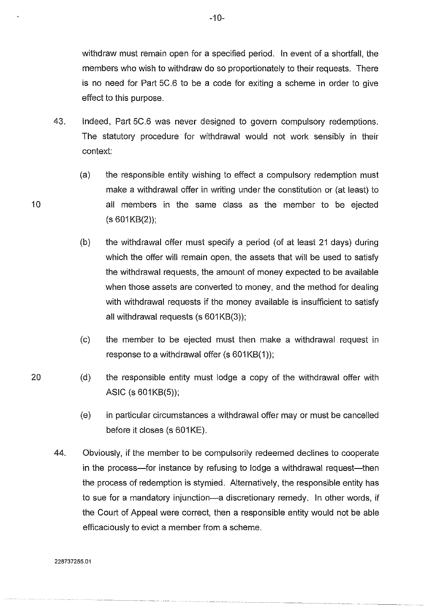withdraw must remain open for a specified period. In event of a shortfall, the members who wish to withdraw do so proportionately to their requests. There is no need for Part 5C.6 to be a code for exiting a scheme in order to give effect to this purpose.

- 43. Indeed, Part 5C.6 was never designed to govern compulsory redemptions. The statutory procedure for withdrawal would not work sensibly in their context:
	- (a) the responsible entity wishing to effect a compulsory redemption must make a withdrawal offer in writing under the constitution or (at least) to all members in the sarne class as the member to be ejected  $(s 601KB(2))$ ;
	- (b) the withdrawal offer must specify a period (of at least 21 days) during which the offer will remain open, the assets that will be used to satisfy the withdrawal requests, the amount of money expected to be available when those assets are converted to money, and the method for dealing with withdrawal requests if the money available is insufficient to satisfy all withdrawal requests (s 601KB(3));
	- (c) the member to be ejected must then make a withdrawal request in response to a withdrawal offer  $(s 601KB(1));$
	- (d) the responsible entity must lodge a copy of the withdrawal offer with ASIC (s $601KB(5)$ );
		- (e) in particular circumstances a withdrawal offer may or must be cancelled before it closes (s 601KE).
- 44. Obviously, if the member to be compulsorily redeemed declines to cooperate in the process-for instance by refusing to lodge a withdrawal request-then the process of redemption is stymied. Alternatively, the responsible entity has to sue for a mandatory injunction-a discretionary remedy. In other words, if the Court of Appeal were correct, then a responsible entity would not be able efficaciously to evict a member from a scheme.

10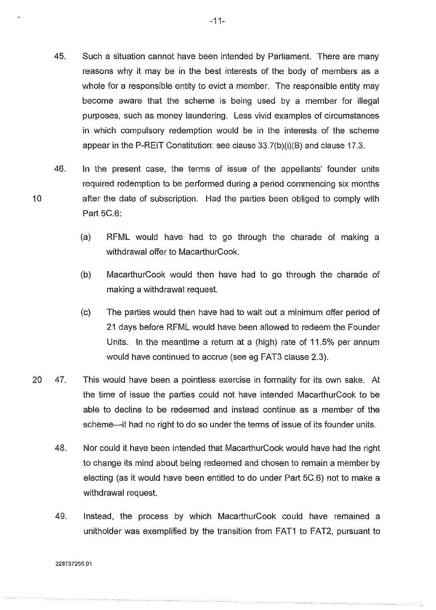- 45. Such a situation cannot have been intended by Parliament. There are many reasons why it may be in the best interests of the body of members as a whole for a responsible entity to evict a member. The responsible entity may become aware that the scheme is being used by a member for illegal purposes, such as money laundering. Less vivid examples of circumstances in which compulsory redemption would be in the interests of the scheme appear in the P-REIT Constitution: see clause 33.7(b)(i)(B) and clause 17.3.
- 46. In the present case, the terms of issue of the appellants' founder units required redemption to be performed during a period commencing six months after the date of subscription. Had the parties been obliged to comply with Part 5C.6:
	- (a) RFML would have had to go through the charade of making a withdrawal offer to MacarthurCook.
	- (b) MacarthurCook would then have had to go through the charade of making a withdrawal request.
	- (c) The parties would then have had to wait out a minimum offer period of 21 days before RFML would have been allowed to redeem the Founder Units. In the meantime a return at a (high) rate of 11.5% per annum would have continued to accrue (see eg FAT3 clause 2.3).
- 20 47. This would have been a pointless exercise in formality for its own sake. At the time of issue the parties could not have intended MacarthurCook to be able to decline to be redeemed and instead continue as a member of the scheme--it had no right to do so under the terms of issue of its founder units.
	- 48. Nor could it have been intended that MacarthurCook would have had the right to change its mind about being redeemed and chosen to remain a member by electing (as it would have been entitled to do under Part 5C.6) not to make a withdrawal request.
	- 49. Instead, the process by which MacarthurCook could have remained a unitholder was exemplified by the transition from FAT1 to FAT2, pursuant to

228737255.01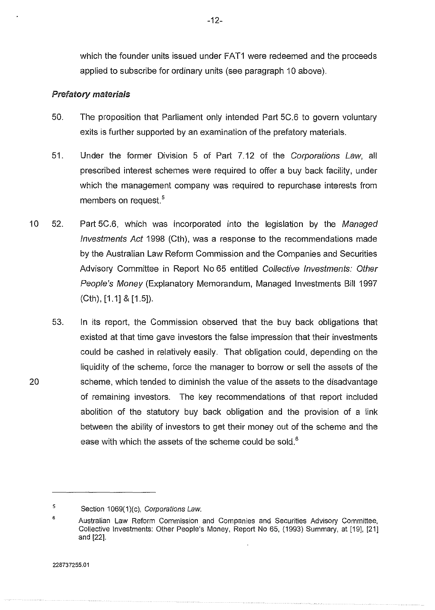which the founder units issued under FAT1 were redeemed and the proceeds applied to subscribe for ordinary units (see paragraph 10 above).

# Prefatory materials

- 50. The proposition that Parliament only intended Part 5C.6 to govern voluntary exits is further supported by an examination of the prefatory materials.
- 51. Under the former Division 5 of Part 7.12 of the Corporations Law, all prescribed interest schemes were required to offer a buy back facility, under which the management company was required to repurchase interests from members on request.<sup>5</sup>
- 10 52. Part 5C.6, which was incorporated into the legislation by the Managed Investments Act 1998 (Cth), was a response to the recommendations made by the Australian Law Reform Commission and the Companies and Securities Advisory Committee in Report No 65 entitled Collective Investments: Other People's Money (Explanatory Memorandum, Managed Investments Bill 1997 (Cth), [1.1] & [1.5]).
	- 53. In its report, the Commission observed that the buy back obligations that existed at that time gave investors the false impression that their investments could be cashed in relatively easily. That obligation could, depending on the liquidity of the scheme, force the manager to borrow or sell the assets of the scheme, which tended to diminish the value of the assets to the disadvantage of remaining investors. The key recommendations of that report included abolition of the statutory buy back obligation and the provision of a link between the ability of investors to get their money out of the scheme and the ease with which the assets of the scheme could be sold. $6$

<sup>5</sup>  Section 1069(1)(c), Corporations Law.

<sup>6</sup>  Australian Law Reform Commission and Companies and Securities Advisory Committee, Collective Investments: Other People's Money, Report No 65, (1993) Summary, at [19], [21] and [22].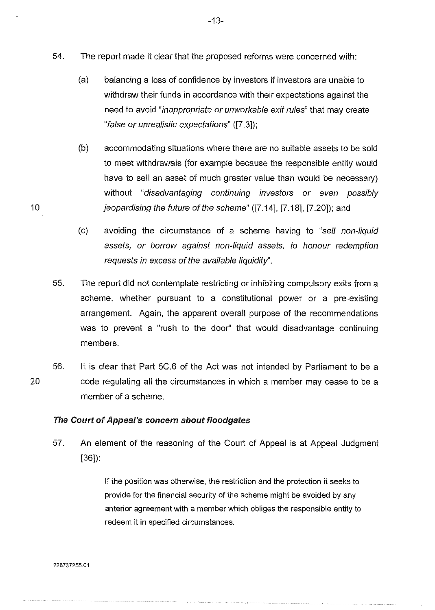- 54. The report made it clear that the proposed reforms were concerned with:
	- (a) balancing a loss of confidence by investors if investors are unable to withdraw their funds in accordance with their expectations against the need to avoid "inappropriate or unworkable exit rules" that may create "false or unrealistic expectations" ([7.3]);
- (b) accommodating situations where there are no suitable assets to be sold to meet withdrawals (for example because the responsible entity would have to sell an asset of much greater value than would be necessary) without "disadvantaging continuing investors or even possibly 10 jeopardising the future of the scheme" ([7.14], [7.18], [7.20]); and
	- (c) avoiding the circumstance of a scheme having to "sell non-liquid assets, or borrow against non-liquid assets, to honour redemption requests in excess of the available liquidity".
	- 55. The report did not contemplate restricting or inhibiting compulsory exits from a scheme, whether pursuant to a constitutional power or a pre-existing arrangement. Again, the apparent overall purpose of the recommendations was to prevent a "rush to the door" that would disadvantage continuing members.
- 20 56. It is clear that Part 5C.6 of the Act was not intended by Parliament to be a code regulating all the circumstances in which a member may cease to be a member of a scheme.

## The Court of Appeal's concern about floodgates

57. An element of the reasoning of the Court of Appeal is at Appeal Judgment [36]):

> If the position was otherwise, the restriction and the protection it seeks to provide for the financial security of the scheme might be avoided by any anterior agreement with a member which obliges the responsible entity to redeem it in specified circumstances.

-13-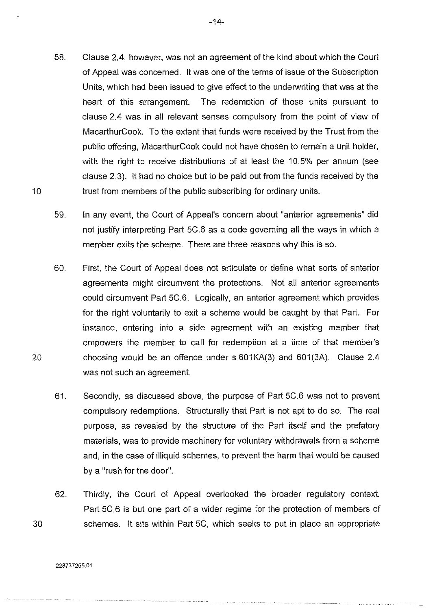- 58. Clause 2.4, however, was not an agreement of the kind about which the Court of Appeal was concerned. It was one of the terms of issue of the Subscription Units, which had been issued to give effect to the underwriting that was at the heart of this arrangement. The redemption of those units pursuant to clause 2.4 was in all relevant senses compulsory from the point of view of MacarthurCook. To the extent that funds were received by the Trust from the public offering, MacarthurCook could not have chosen to remain a unit holder, with the right to receive distributions of at least the 10.5% per annum (see clause 2.3). It had no choice but to be paid out from the funds received by the trust from members of the public subscribing for ordinary units.
- 59. In any event, the Court of Appeal's concern about "anterior agreements" did not justify interpreting Part 5C.6 as a code governing all the ways in which a member exits the scheme. There are three reasons why this is so.
- 60. First, the Court of Appeal does not articulate or define what sorts of anterior agreements might circumvent the protections. Not all anterior agreements could circumvent Part 5C.6. Logically, an anterior agreement which provides for the right voluntarily to exit a scheme would be caught by that Part. For instance, entering into a side agreement with an existing member that empowers the member to call for redemption at a time of that member's choosing would be an offence under s 601 KA(3) and 601 (3A). Clause 2.4 was not such an agreement.
- 61. Secondly, as discussed above, the purpose of Part 5C.6 was not to prevent compulsory redemptions. Structurally that Part is not apt to do so. The real purpose, as revealed by the structure of the Part itself and the prefatory materials, was to provide machinery for voluntary withdrawals from a scheme and, in the case of illiquid schemes, to prevent the harm that would be caused by a "rush for the door".
- 62. Thirdly, the Court of Appeal overlooked the broader regulatory context. Part 5C.6 is but one part of a wider regime for the protection of members of schemes. It sits within Part 5C, which seeks to put in place an appropriate

20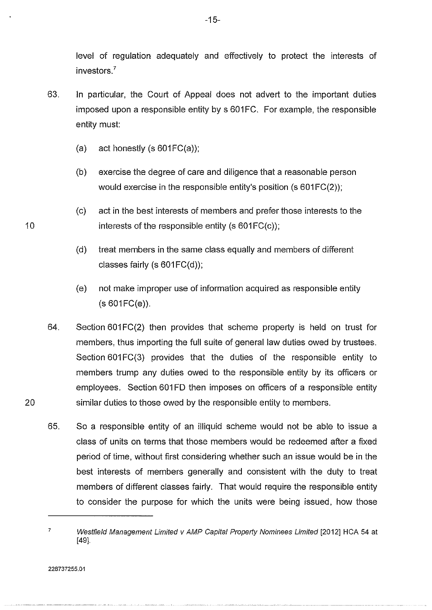level of regulation adequately and effectively to protect the interests of investors<sup>7</sup>

- 63. In particular, the Court of Appeal does not advert to the important duties imposed upon a responsible entity by s 601 FC. For example, the responsible entity must:
	- (a) act honestly  $(s 601FC(a))$ ;
	- (b) exercise the degree of care and diligence that a reasonable person would exercise in the responsible entity's position  $(s 601FC(2))$ ;
	- (c) act in the best interests of members and prefer those interests to the interests of the responsible entity (s  $601FC(c)$ );
	- (d) treat members in the same class equally and members of different classes fairly (s  $601FC(d)$ );
	- (e) not make improper use of information acquired as responsible entity  $(s 601 F C(e))$ .
- 64. Section 601 FC(2) then provides that scheme property is held on trust for members, thus importing the full suite of general Jaw duties owed by trustees. Section 601 FC(3) provides that the duties of the responsible entity to members trump any duties owed to the responsible entity by its officers or employees. Section 601FD then imposes on officers of a responsible entity similar duties to those owed by the responsible entity to members.
- 65. So a responsible entity of an illiquid scheme would not be able to issue a class of units on terms that those members would be redeemed after a fixed period of time, without first considering whether such an issue would be in the best interests of members generally and consistent with the duty to treat members of different classes fairly. That would require the responsible entity to consider the purpose for which the units were being issued, how those

10

<sup>7</sup>  Westfield Management Limited v AMP Capital Property Nominees Limited [2012] HCA 54 at [49].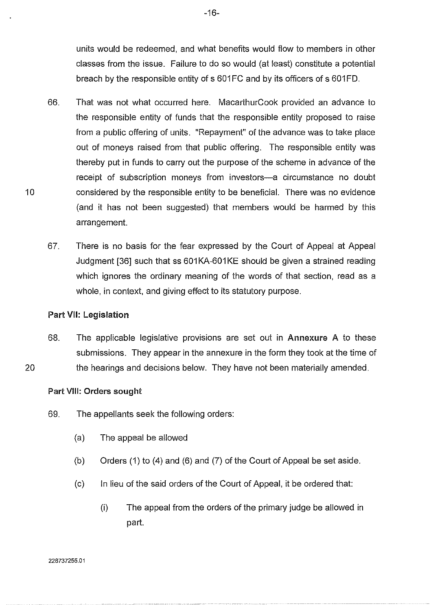units would be redeemed, and what benefits would flow to members in other classes from the issue. Failure to do so would (at least) constitute a potential breach by the responsible entity of s 601 FC and by its officers of s 601 FD.

- 66. That was not what occurred here. MacarthurCook provided an advance to the responsible entity of funds that the responsible entity proposed to raise from a public offering of units. "Repayment" of the advance was to take place out of moneys raised from that public offering. The responsible entity was thereby put in funds to carry out the purpose of the scheme in advance of the receipt of subscription moneys from investors-a circumstance no doubt considered by the responsible entity to be beneficial. There was no evidence (and it has not been suggested) that members would be harmed by this arrangement.
- 67. There is no basis for the fear expressed by the Court of Appeal at Appeal Judgment [36] such that ss 601 KA-601 KE should be given a strained reading which ignores the ordinary meaning of the words of that section, read as a whole, in context, and giving effect to its statutory purpose.

## Part VII: Legislation

10

20

68. The applicable legislative provisions are set out in Annexure A to these submissions. They appear in the annexure in the form they took at the time of the hearings and decisions below. They have not been materially amended.

#### Part VIII: Orders sought

- 69. The appellants seek the following orders:
	- (a) The appeal be allowed
	- (b) Orders (1) to (4) and (6) and (7) of the Court of Appeal be set aside.
	- (c) In lieu of the said orders of the Court of Appeal, it be ordered that:
		- (i) The appeal from the orders of the primary judge be allowed in part.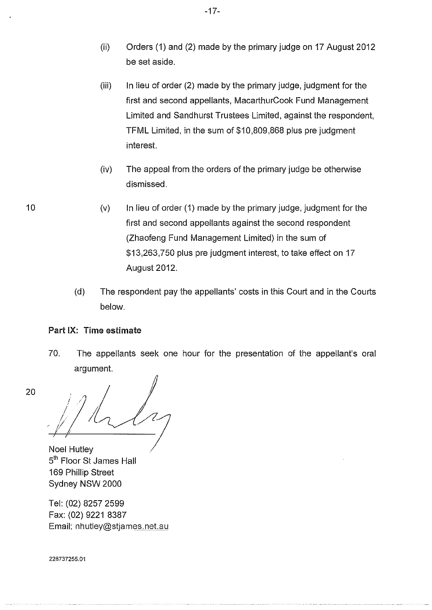- (ii) Orders (1) and (2) made by the primary judge on 17 August 2012 be set aside.
- $(iii)$  In lieu of order (2) made by the primary judge, judgment for the first and second appellants, MacarthurCook Fund Management Limited and Sandhurst Trustees Limited, against the respondent, TFML Limited, in the sum of \$10,809,868 plus pre judgment interest.
- (iv) The appeal from the orders of the primary judge be otherwise dismissed.
- $(v)$  In lieu of order (1) made by the primary judge, judgment for the first and second appellants against the second respondent (Zhaofeng Fund Management Limited) in the sum of \$13,263,750 plus pre judgment interest, to take effect on 17 August 2012.
	- (d) The respondent pay the appellants' costs in this Court and in the Courts below.

# Part IX: Time estimate

10

20

70. The appellants seek one hour for the presentation of the appellant's oral argument.

 $\bigg/$ f *! /'/((,* 

Noel Hutley 5<sup>th</sup> Floor St James Hall 169 Phillip Street Sydney NSW 2000

Tel: (02) 8257 2599 Fax: (02) 9221 8387 Email: nhutley@stjames.net.au

228737255.01

-17-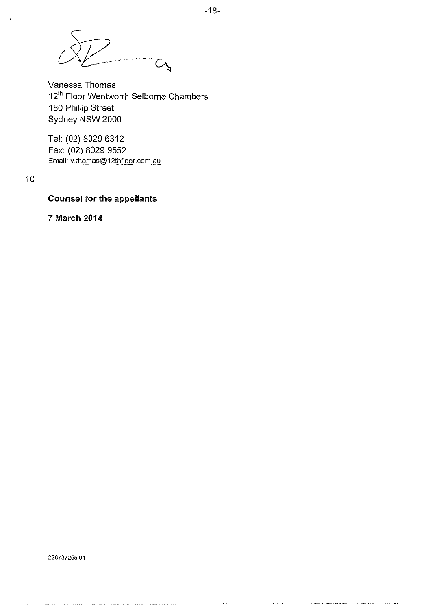Ō,

Vanessa Thomas 12<sup>th</sup> Floor Wentworth Selborne Chambers 180 Phillip Street Sydney NSW 2000

Tel: (02) 8029 6312 Fax: (02) 8029 9552 Email: v.thomas@12thfloor.com.au

10

# Counsel for the appellants

7 March 2014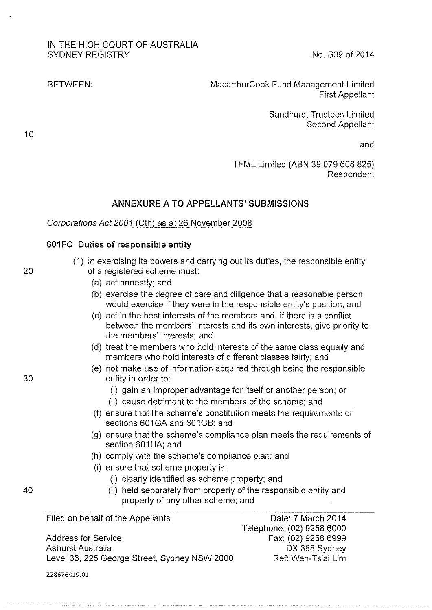# IN THE HIGH COURT OF AUSTRALIA SYDNEY REGISTRY No. S39 of 2014

BETWEEN: MacarthurCook Fund Management Limited First Appellant

> Sandhurst Trustees Limited Second Appellant

> > and

TFML Limited (ABN 39 079 608 825) Respondent

# **ANNEXURE A TO APPELLANTS' SUBMISSIONS**

## Corporations Act 2001 (Cth) as at 26 November 2008

#### **601 FC Duties of responsible entity**

|    | (1) In exercising its powers and carrying out its duties, the responsible entity |
|----|----------------------------------------------------------------------------------|
| 20 | of a registered scheme must:                                                     |

- (a) act honestly; and
- (b) exercise the degree of care and diligence that a reasonable person would exercise if they were in the responsible entity's position; and
- (c) act in the best interests of the members and, if there is a conflict between the members' interests and its own interests, give priority to the members' interests; and
- (d) treat the members who hold interests of the same class equally and members who hold interests of different classes fairly; and
- (e) not make use of information acquired through being the responsible 30 entity in order to:
	- (i) gain an improper advantage for itself or another person; or
	- (ii) cause detriment to the members of the scheme; and
	- (f) ensure that the scheme's constitution meets the requirements of sections 601GA and 601GB; and
	- (g) ensure that the scheme's compliance plan meets the requirements of section 601HA; and
	- (h) comply with the scheme's compliance plan; and
	- **(i)** ensure that scheme property is:
		- (i) clearly identified as scheme property; and
- 40 (ii) held separately from property of the responsible entity and property of any other scheme; and

Filed on behalf of the Appellants

Address for Service Ashurst Australia Level 36, 225 George Street, Sydney NSW 2000

Date: 7 March 2014 Telephone: (02) 9258 6000 Fax: (02) 9258 6999 DX 388 Sydney Ref: Wen-Ts'ai Lim

10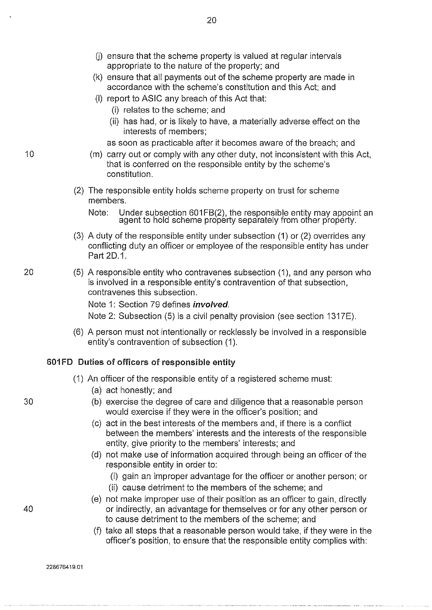$(i)$  ensure that the scheme property is valued at regular intervals appropriate to the nature of the property; and

20

- (k) ensure that all payments out of the scheme property are made in accordance with the scheme's constitution and this Act; and
- (I) report to ASIC any breach of this Act that:
	- (i) relates to the scheme; and
	- (ii) has had, or is likely to have, a materially adverse effect on the interests of members;

as soon as practicable after it becomes aware of the breach; and

- (m) carry out or comply with any other duty, not inconsistent with this Act, that is conferred on the responsible entity by the scheme's constitution.
- (2) The responsible entity holds scheme property on trust for scheme members.
	- Note: Under subsection 601 FB(2), the responsible entity may appoint an agent to hold scheme property separately from other property.
- (3) A duty of the responsible entity under subsection (1) or (2) overrides any conflicting duty an officer or employee of the responsible entity has under Part 2D.1.
- 20 (5) A responsible entity who contravenes subsection (1), and any person who is involved in a responsible entity's contravention of that subsection, contravenes this subsection.

Note 1: Section 79 defines *involved*.

Note 2: Subsection (5) is a civil penalty provision (see section 1317E).

(6) A person must not intentionally or recklessly be involved in a responsible entity's contravention of subsection (1).

## 601FD Duties of officers of responsible entity

- (1) An officer of the responsible entity of a registered scheme must:
	- (a) act honestly; and
- 30 (b) exercise the degree of care and diligence that a reasonable person would exercise if they were in the officer's position; and
	- (c) act in the best interests of the members and, if there is a conflict between the members' interests and the interests of the responsible entity, give priority to the members' interests; and
	- (d) not make use of information acquired through being an officer of the responsible entity in order to:
		- (i) gain an improper advantage for the officer or another person; or
		- (ii) cause detriment to the members of the scheme; and
- (e) not make improper use of their position as an officer to gain, directly 40 or indirectly, an advantage for themselves or for any other person or to cause detriment to the members of the scheme; and
	- (f) take all steps that a reasonable person would take, if they were in the officer's position, to ensure that the responsible entity complies with:

10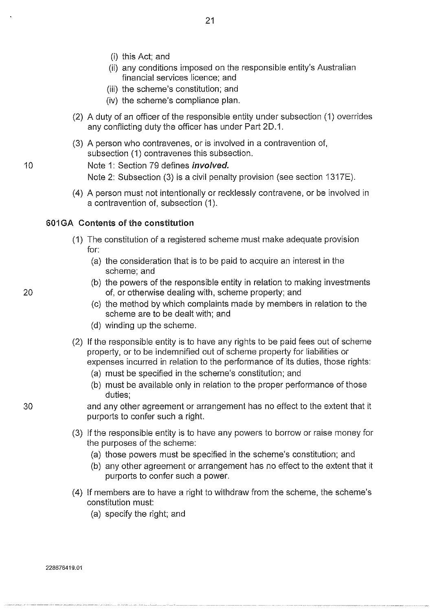- (i) this Act; and
- (ii) any conditions imposed on the responsible entity's Australian financial services licence; and
- (iii) the scheme's constitution; and
- (iv) the scheme's compliance plan.
- (2) A duty of an officer of the responsible entity under subsection (1) overrides any conflicting duty the officer has under Part 20.1.
- (3) A person who contravenes, or is involved in a contravention of, subsection (1) contravenes this subsection.

10 Note 1: Section 79 defines *involved.* 

Note 2: Subsection (3) is a civil penalty provision (see section 1317E).

(4) A person must not intentionally or recklessly contravene, or be involved in a contravention of, subsection (1 ).

# 601 GA Contents of the constitution

- (1) The constitution of a registered scheme must make adequate provision for:
	- (a) the consideration that is to be paid to acquire an interest in the scheme; and
- (b) the powers of the responsible entity in relation to making investments 20 of, or otherwise dealing with, scheme property; and
	- (c) the method by which complaints made by members in relation to the scheme are to be dealt with; and
	- (d) winding up the scheme.
	- (2) If the responsible entity is to have any rights to be paid fees out of scheme property, or to be indemnified out of scheme property for liabilities or expenses incurred in relation to the performance of its duties, those rights:
		- (a) must be specified in the scheme's constitution; and
		- (b) must be available only in relation to the proper performance of those duties;
		- and any other agreement or arrangement has no effect to the extent that it purports to confer such a right.
	- (3) If the responsible entity is to have any powers to borrow or raise money for the purposes of the scheme:
		- (a) those powers must be specified in the scheme's constitution; and
		- (b) any other agreement or arrangement has no effect to the extent that it purports to confer such a power.
	- (4) If members are to have a right to withdraw from the scheme, the scheme's constitution must:
		- (a) specify the right; and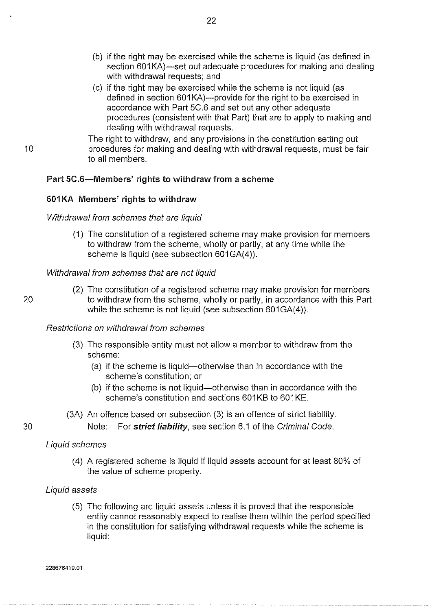- (b) if the right may be exercised while the scheme is liquid (as defined in section 601 KA)-set out adequate procedures for making and dealing with withdrawal requests; and
- (c) if the right may be exercised while the scheme is not liquid (as defined in section 601KA)--provide for the right to be exercised in accordance with Part 5C.6 and set out any other adequate procedures (consistent with that Part) that are to apply to making and dealing with withdrawal requests.
- The right to withdraw, and any provisions in the constitution setting out procedures for making and dealing with withdrawal requests, must be fair to all members.

# Part 5C.6-Members' rights to withdraw from a scheme

## 601 KA Members' rights to withdraw

#### Withdrawal from schemes that are liquid

(1) The constitution of a registered scheme may make provision for members to withdraw from the scheme, wholly or partly, at any time while the scheme is liquid (see subsection 601 GA(4)).

#### Withdrawal from schemes that are not liquid

(2) The constitution of a registered scheme may make provision for members 20 to withdraw from the scheme, wholly or partly, in accordance with this Part while the scheme is not liquid (see subsection 601 GA(4)).

## Restrictions on withdrawal from schemes

- (3) The responsible entity must not allow a member to withdraw from the scheme:
	- (a) if the scheme is liquid-otherwise than in accordance with the scheme's constitution; or
	- (b) if the scheme is not liquid-otherwise than in accordance with the scheme's constitution and sections 601KB to 601KE.
- (3A) An offence based on subsection (3) is an offence of strict liability.

Note: For strict liability, see section 6.1 of the Criminal Code.

#### Liquid schemes

(4) A registered scheme is liquid if liquid assets account for at least 80% of the value of scheme property.

#### Liquid assets

(5) The following are liquid assets unless it is proved that the responsible entity cannot reasonably expect to realise them within the period specified in the constitution for satisfying withdrawal requests while the scheme is liquid:

30

10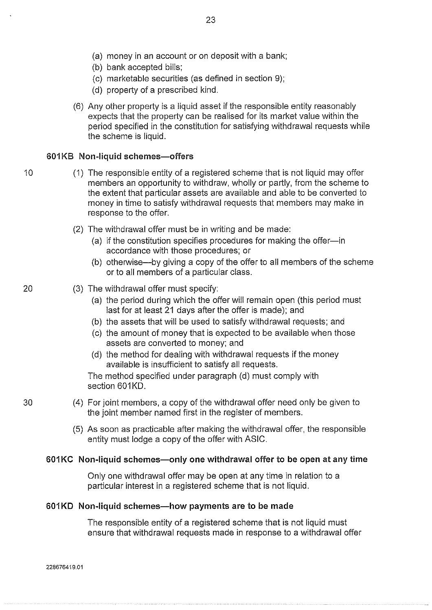- (a) money in an account or on deposit with a bank;
- (b) bank accepted bills;
- (c) marketable securities (as defined in section 9);
- (d) property of a prescribed kind.
- (6) Any other property is a liquid asset if the responsible entity reasonably expects that the property can be realised for its market value within the period specified in the constitution for satisfying withdrawal requests while the scheme is liquid.

#### **601 KB Non-liquid schemes-offers**

- 
- 10 (1) The responsible entity of a registered scheme that is not liquid may offer members an opportunity to withdraw, wholly or partly, from the scheme to the extent that particular assets are available and able to be converted to money in time to satisfy withdrawal requests that members may make in response to the offer.
	- (2) The withdrawal offer must be in writing and be made:
		- (a) if the constitution specifies procedures for making the offer-in accordance with those procedures; or
		- (b) otherwise-by giving a copy of the offer to all members of the scheme or to all members of a particular class.

# 20 (3) The withdrawal offer must specify:

- (a) the period during which the offer will remain open (this period must last for at least 21 days after the offer is made); and
- (b) the assets that will be used to satisfy withdrawal requests; and
- (c) the amount of money that is expected to be available when those assets are converted to money; and
- (d) the method for dealing with withdrawal requests if the money available is insufficient to satisfy all requests.

The method specified under paragraph (d) must comply with section 601KD.

- 30 (4) For joint members, a copy of the withdrawal offer need only be given to the joint member named first in the register of members.
	- (5) As soon as practicable after making the withdrawal offer, the responsible entity must lodge a copy of the offer with ASIC.

#### **601KC Non-liquid schemes-only one withdrawal offer to be open at any time**

Only one withdrawal offer may be open at any time in relation to a particular interest in a registered scheme that is not liquid.

#### **601KD Non-liquid schemes-how payments are to be made**

The responsible entity of a registered scheme that is not liquid must ensure that withdrawal requests made in response to a withdrawal offer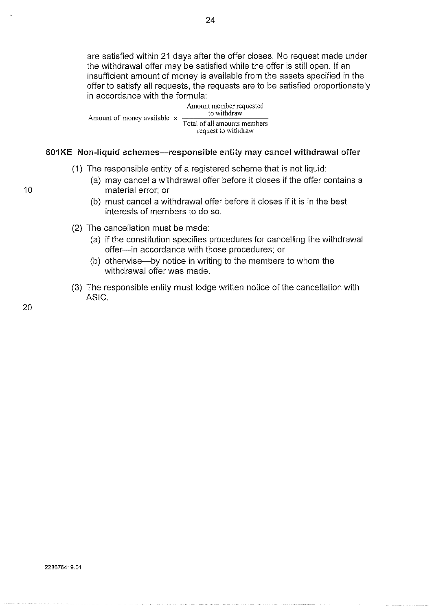are satisfied within 21 days after the offer closes. No request made under the withdrawal offer may be satisfied while the offer is still open. If an insufficient amount of money is available from the assets specified in the offer to satisfy all requests, the requests are to be satisfied proportionately in accordance with the formula:

Amount of money available  $\times$  to withdraw Amount member requested Total of all amounts members request to withdraw

## 601KE Non-liquid schemes-responsible entity may cancel withdrawal offer

- (1) The responsible entity of a registered scheme that is not liquid:
	- (a) may cancel a withdrawal offer before it closes if the offer contains a material error; or
	- (b) must cancel a withdrawal offer before it closes if it is in the best interests of members to do so.
- (2) The cancellation must be made:
	- (a) if the constitution specifies procedures for cancelling the withdrawal offer-in accordance with those procedures; or
	- (b) otherwise-by notice in writing to the members to whom the withdrawal offer was made.
- (3) The responsible entity must lodge written notice of the cancellation with ASIC.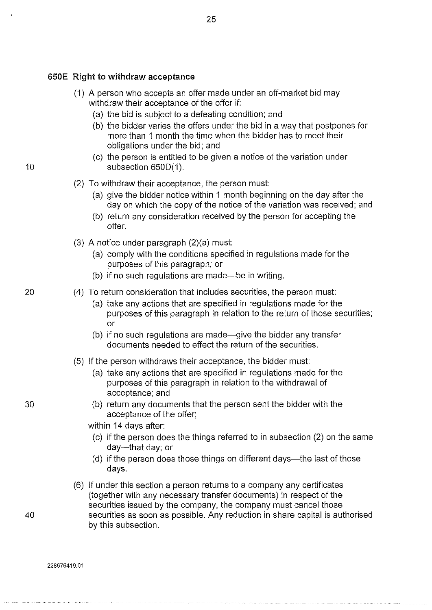# 650E Right to withdraw acceptance

(1) A person who accepts an offer made under an off-market bid may withdraw their acceptance of the offer if:

25

- (a) the bid is subject to a defeating condition; and
- (b) the bidder varies the offers under the bid in a way that postpones for more than 1 month the time when the bidder has to meet their obligations under the bid; and
- (c) the person is entitled to be given a notice of the variation under 10 subsection 650D(1).

# (2) To withdraw their acceptance, the person must:

- (a) give the bidder notice within 1 month beginning on the day after the day on which the copy of the notice of the variation was received; and
- (b) return any consideration received by the person for accepting the offer.
- (3) A notice under paragraph (2)(a) must:
	- (a) comply with the conditions specified in regulations made for the purposes of this paragraph; or
	- (b) if no such regulations are made—be in writing.
- 20 (4) To return consideration that includes securities, the person must:
	- (a) take any actions that are specified in regulations made for the purposes of this paragraph in relation to the return of those securities; or
	- (b) if no such regulations are made—give the bidder any transfer documents needed to effect the return of the securities.
	- (5) If the person withdraws their acceptance, the bidder must:
		- (a) take any actions that are specified in regulations made for the purposes of this paragraph in relation to the withdrawal of acceptance; and
- 30 (b) return any documents that the person sent the bidder with the acceptance of the offer;

within 14 days after:

- (c) if the person does the things referred to in subsection (2) on the same day-that day; or
- (d) if the person does those things on different days—the last of those days.
- (6) If under this section a person returns to a company any certificates (together with any necessary transfer documents) in respect of the securities issued by the company, the company must cancel those 40 securities as soon as possible. Any reduction in share capital is authorised by this subsection.